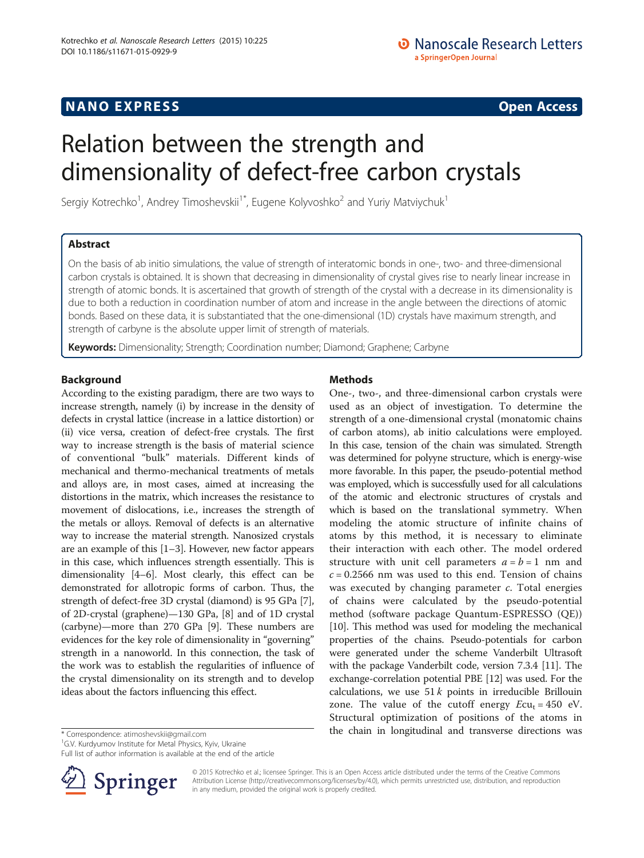## **NANO EXPRESS** Open Access and the set of the set of the set of the set of the set of the set of the set of the set of the set of the set of the set of the set of the set of the set of the set of the set of the set of the

# Relation between the strength and dimensionality of defect-free carbon crystals

Sergiy Kotrechko<sup>1</sup>, Andrey Timoshevskii<sup>1\*</sup>, Eugene Kolyvoshko<sup>2</sup> and Yuriy Matviychuk<sup>1</sup>

## Abstract

On the basis of ab initio simulations, the value of strength of interatomic bonds in one-, two- and three-dimensional carbon crystals is obtained. It is shown that decreasing in dimensionality of crystal gives rise to nearly linear increase in strength of atomic bonds. It is ascertained that growth of strength of the crystal with a decrease in its dimensionality is due to both a reduction in coordination number of atom and increase in the angle between the directions of atomic bonds. Based on these data, it is substantiated that the one-dimensional (1D) crystals have maximum strength, and strength of carbyne is the absolute upper limit of strength of materials.

Keywords: Dimensionality; Strength; Coordination number; Diamond; Graphene; Carbyne

## Background

According to the existing paradigm, there are two ways to increase strength, namely (i) by increase in the density of defects in crystal lattice (increase in a lattice distortion) or (ii) vice versa, creation of defect-free crystals. The first way to increase strength is the basis of material science of conventional "bulk" materials. Different kinds of mechanical and thermo-mechanical treatments of metals and alloys are, in most cases, aimed at increasing the distortions in the matrix, which increases the resistance to movement of dislocations, i.e., increases the strength of the metals or alloys. Removal of defects is an alternative way to increase the material strength. Nanosized crystals are an example of this [\[1](#page-4-0)–[3\]](#page-4-0). However, new factor appears in this case, which influences strength essentially. This is dimensionality [\[4](#page-4-0)–[6\]](#page-4-0). Most clearly, this effect can be demonstrated for allotropic forms of carbon. Thus, the strength of defect-free 3D crystal (diamond) is 95 GPa [[7](#page-4-0)], of 2D-crystal (graphene)—130 GPa, [\[8](#page-4-0)] and of 1D crystal (carbyne)—more than 270 GPa [\[9\]](#page-4-0). These numbers are evidences for the key role of dimensionality in "governing" strength in a nanoworld. In this connection, the task of the work was to establish the regularities of influence of the crystal dimensionality on its strength and to develop ideas about the factors influencing this effect.

Full list of author information is available at the end of the article



## Methods

One-, two-, and three-dimensional carbon crystals were used as an object of investigation. To determine the strength of a one-dimensional crystal (monatomic chains of carbon atoms), ab initio calculations were employed. In this case, tension of the chain was simulated. Strength was determined for polyyne structure, which is energy-wise more favorable. In this paper, the pseudo-potential method was employed, which is successfully used for all calculations of the atomic and electronic structures of crystals and which is based on the translational symmetry. When modeling the atomic structure of infinite chains of atoms by this method, it is necessary to eliminate their interaction with each other. The model ordered structure with unit cell parameters  $a = b = 1$  nm and  $c = 0.2566$  nm was used to this end. Tension of chains was executed by changing parameter  $c$ . Total energies of chains were calculated by the pseudo-potential method (software package Quantum-ESPRESSO (QE)) [[10](#page-4-0)]. This method was used for modeling the mechanical properties of the chains. Pseudo-potentials for carbon were generated under the scheme Vanderbilt Ultrasoft with the package Vanderbilt code, version 7.3.4 [\[11\]](#page-4-0). The exchange-correlation potential PBE [\[12](#page-4-0)] was used. For the calculations, we use  $51k$  points in irreducible Brillouin zone. The value of the cutoff energy  $Ecu_t = 450$  eV. Structural optimization of positions of the atoms in \* Correspondence: [atimoshevskii@gmail.com](mailto:atimoshevskii@gmail.com) **1998** the chain in longitudinal and transverse directions was

> © 2015 Kotrechko et al.; licensee Springer. This is an Open Access article distributed under the terms of the Creative Commons Attribution License [\(http://creativecommons.org/licenses/by/4.0\)](http://creativecommons.org/licenses/by/4.0), which permits unrestricted use, distribution, and reproduction in any medium, provided the original work is properly credited.

<sup>&</sup>lt;sup>1</sup>G.V. Kurdyumov Institute for Metal Physics, Kyiv, Ukraine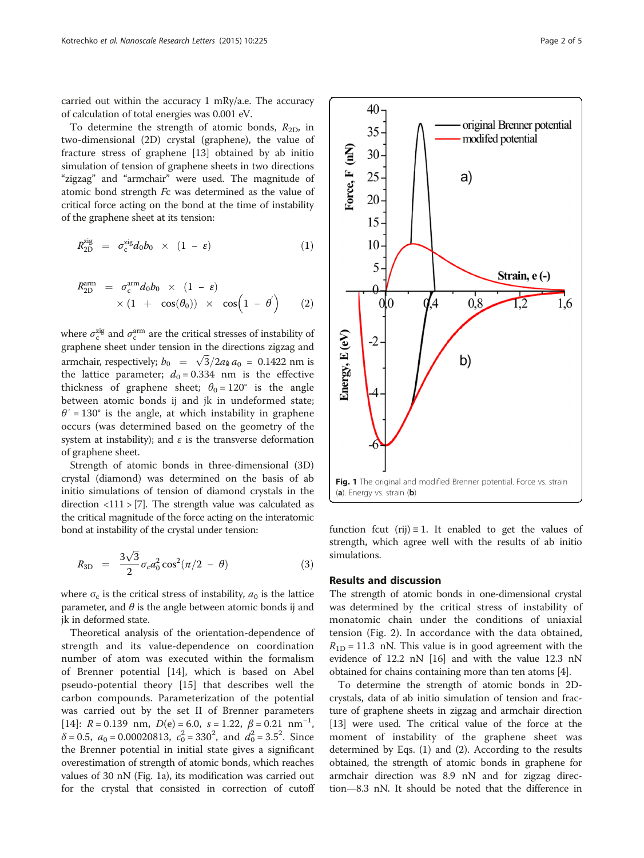<span id="page-1-0"></span>carried out within the accuracy 1 mRy/a.e. The accuracy of calculation of total energies was 0.001 eV.

To determine the strength of atomic bonds,  $R_{2D}$ , in two-dimensional (2D) crystal (graphene), the value of fracture stress of graphene [[13\]](#page-4-0) obtained by ab initio simulation of tension of graphene sheets in two directions "zigzag" and "armchair" were used. The magnitude of atomic bond strength Fc was determined as the value of critical force acting on the bond at the time of instability of the graphene sheet at its tension:

$$
R_{\rm 2D}^{\rm zig} = \sigma_{\rm c}^{\rm zig} d_0 b_0 \times (1 - \varepsilon) \tag{1}
$$

$$
R_{2D}^{arm} = \sigma_c^{arm} d_0 b_0 \times (1 - \varepsilon)
$$
  
 
$$
\times (1 + \cos(\theta_0)) \times \cos(1 - \theta')
$$
 (2)

where  $\sigma_c^{\text{zig}}$  and  $\sigma_c^{\text{arm}}$  are the critical stresses of instability of graphene sheet under tension in the directions zigzag and armchair, respectively;  $b_0 = \sqrt{3}/2a_0 a_0 = 0.1422$  nm is the lattice parameter;  $d_0 = 0.334$  nm is the effective thickness of graphene sheet;  $\theta_0 = 120^\circ$  is the angle between atomic bonds ij and jk in undeformed state;  $\theta' = 130^\circ$  is the angle, at which instability in graphene occurs (was determined based on the geometry of the system at instability); and  $\varepsilon$  is the transverse deformation of graphene sheet.

Strength of atomic bonds in three-dimensional (3D) crystal (diamond) was determined on the basis of ab initio simulations of tension of diamond crystals in the direction  $\langle 111 \rangle$  [\[7\]](#page-4-0). The strength value was calculated as the critical magnitude of the force acting on the interatomic bond at instability of the crystal under tension:

$$
R_{3D} = \frac{3\sqrt{3}}{2} \sigma_c a_0^2 \cos^2(\pi/2 - \theta)
$$
 (3)

where  $\sigma_c$  is the critical stress of instability,  $a_0$  is the lattice parameter, and  $\theta$  is the angle between atomic bonds ij and jk in deformed state.

Theoretical analysis of the orientation-dependence of strength and its value-dependence on coordination number of atom was executed within the formalism of Brenner potential [[14\]](#page-4-0), which is based on Abel pseudo-potential theory [[15\]](#page-4-0) that describes well the carbon compounds. Parameterization of the potential was carried out by the set II of Brenner parameters [[14\]](#page-4-0):  $R = 0.139$  nm,  $D(e) = 6.0$ ,  $s = 1.22$ ,  $\beta = 0.21$  nm<sup>-1</sup>,  $\delta$  = 0.5,  $a_0$  = 0.00020813,  $c_0^2$  = 330<sup>2</sup>, and  $d_0^2$  = 3.5<sup>2</sup>. Since the Brenner potential in initial state gives a significant overestimation of strength of atomic bonds, which reaches values of 30 nN (Fig. 1a), its modification was carried out for the crystal that consisted in correction of cutoff



function fcut (rij)  $\equiv$  1. It enabled to get the values of strength, which agree well with the results of ab initio simulations.

#### Results and discussion

The strength of atomic bonds in one-dimensional crystal was determined by the critical stress of instability of monatomic chain under the conditions of uniaxial tension (Fig. [2](#page-2-0)). In accordance with the data obtained,  $R_{1D}$  = 11.3 nN. This value is in good agreement with the evidence of 12.2 nN [\[16\]](#page-4-0) and with the value 12.3 nN obtained for chains containing more than ten atoms [\[4](#page-4-0)].

To determine the strength of atomic bonds in 2Dcrystals, data of ab initio simulation of tension and fracture of graphene sheets in zigzag and armchair direction [[13](#page-4-0)] were used. The critical value of the force at the moment of instability of the graphene sheet was determined by Eqs. (1) and (2). According to the results obtained, the strength of atomic bonds in graphene for armchair direction was 8.9 nN and for zigzag direction—8.3 nN. It should be noted that the difference in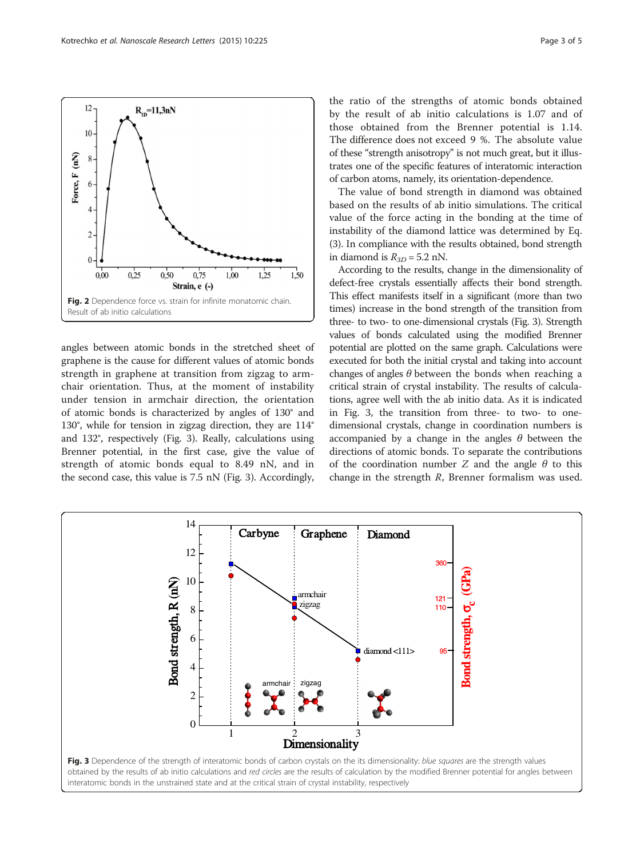angles between atomic bonds in the stretched sheet of graphene is the cause for different values of atomic bonds strength in graphene at transition from zigzag to armchair orientation. Thus, at the moment of instability under tension in armchair direction, the orientation of atomic bonds is characterized by angles of 130° and 130°, while for tension in zigzag direction, they are 114° and 132°, respectively (Fig. 3). Really, calculations using Brenner potential, in the first case, give the value of strength of atomic bonds equal to 8.49 nN, and in the second case, this value is 7.5 nN (Fig. 3). Accordingly,

0

2

4

6

Bond strength, R (nN)

8

10

12

14

the ratio of the strengths of atomic bonds obtained by the result of ab initio calculations is 1.07 and of those obtained from the Brenner potential is 1.14. The difference does not exceed 9 %. The absolute value of these "strength anisotropy" is not much great, but it illustrates one of the specific features of interatomic interaction of carbon atoms, namely, its orientation-dependence.

The value of bond strength in diamond was obtained based on the results of ab initio simulations. The critical value of the force acting in the bonding at the time of instability of the diamond lattice was determined by Eq. ([3](#page-1-0)). In compliance with the results obtained, bond strength in diamond is  $R_{3D} = 5.2$  nN.

According to the results, change in the dimensionality of defect-free crystals essentially affects their bond strength. This effect manifests itself in a significant (more than two times) increase in the bond strength of the transition from three- to two- to one-dimensional crystals (Fig. 3). Strength values of bonds calculated using the modified Brenner potential are plotted on the same graph. Calculations were executed for both the initial crystal and taking into account changes of angles  $\theta$  between the bonds when reaching a critical strain of crystal instability. The results of calculations, agree well with the ab initio data. As it is indicated in Fig. 3, the transition from three- to two- to onedimensional crystals, change in coordination numbers is accompanied by a change in the angles  $\theta$  between the directions of atomic bonds. To separate the contributions of the coordination number  $Z$  and the angle  $\theta$  to this change in the strength  $R$ , Brenner formalism was used.

360

 $121$ 110 Bond strength,  $\sigma$ <sub>c</sub> (GPa



armchair zigzag

Graphene

Diamond

 $diamond < 111$ 

1 2 3

armchair zigzad

Carbyne

<span id="page-2-0"></span>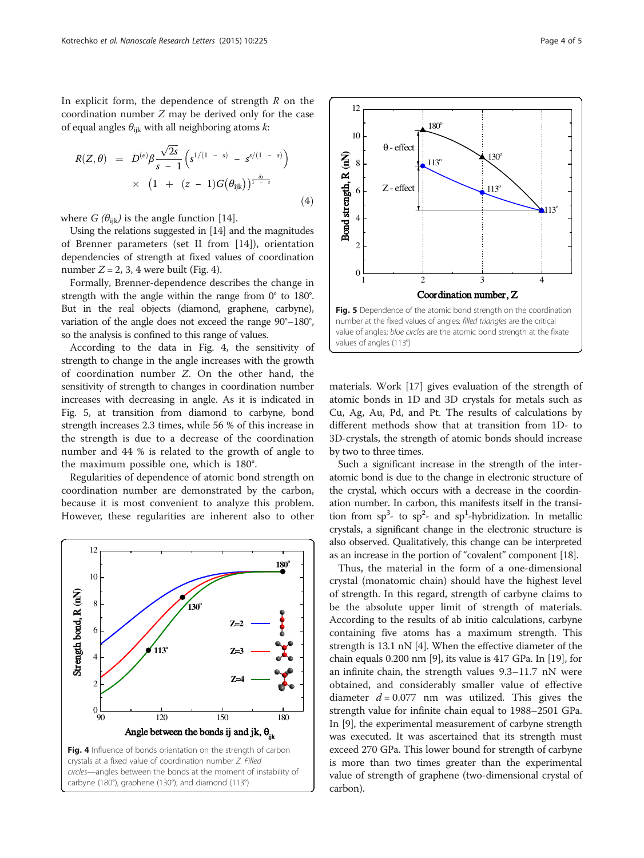In explicit form, the dependence of strength  $R$  on the coordination number Z may be derived only for the case of equal angles  $\theta_{ijk}$  with all neighboring atoms  $k$ :

$$
R(Z, \theta) = D^{(e)} \beta \frac{\sqrt{2s}}{s - 1} \left( s^{1/(1 - s)} - s^{s/(1 - s)} \right) \times \left( 1 + (z - 1)G(\theta_{ijk}) \right)^{\frac{\delta s}{1 - s}}
$$
(4)

where  $G$  ( $\theta_{ijk}$ ) is the angle function [[14\]](#page-4-0).

Using the relations suggested in [[14](#page-4-0)] and the magnitudes of Brenner parameters (set II from [[14\]](#page-4-0)), orientation dependencies of strength at fixed values of coordination number  $Z = 2$ , 3, 4 were built (Fig. 4).

Formally, Brenner-dependence describes the change in strength with the angle within the range from 0° to 180°. But in the real objects (diamond, graphene, carbyne), variation of the angle does not exceed the range 90°–180°, so the analysis is confined to this range of values.

According to the data in Fig. 4, the sensitivity of strength to change in the angle increases with the growth of coordination number Z. On the other hand, the sensitivity of strength to changes in coordination number increases with decreasing in angle. As it is indicated in Fig. 5, at transition from diamond to carbyne, bond strength increases 2.3 times, while 56 % of this increase in the strength is due to a decrease of the coordination number and 44 % is related to the growth of angle to the maximum possible one, which is 180°.

Regularities of dependence of atomic bond strength on coordination number are demonstrated by the carbon, because it is most convenient to analyze this problem. However, these regularities are inherent also to other





materials. Work [\[17](#page-4-0)] gives evaluation of the strength of atomic bonds in 1D and 3D crystals for metals such as Cu, Ag, Au, Pd, and Pt. The results of calculations by different methods show that at transition from 1D- to 3D-crystals, the strength of atomic bonds should increase by two to three times.

Such a significant increase in the strength of the interatomic bond is due to the change in electronic structure of the crystal, which occurs with a decrease in the coordination number. In carbon, this manifests itself in the transition from  $sp^3$ - to  $sp^2$ - and  $sp^1$ -hybridization. In metallic crystals, a significant change in the electronic structure is also observed. Qualitatively, this change can be interpreted as an increase in the portion of "covalent" component [\[18](#page-4-0)].

Thus, the material in the form of a one-dimensional crystal (monatomic chain) should have the highest level of strength. In this regard, strength of carbyne claims to be the absolute upper limit of strength of materials. According to the results of ab initio calculations, carbyne containing five atoms has a maximum strength. This strength is 13.1 nN [[4\]](#page-4-0). When the effective diameter of the chain equals 0.200 nm [\[9\]](#page-4-0), its value is 417 GPa. In [[19](#page-4-0)], for an infinite chain, the strength values 9.3–11.7 nN were obtained, and considerably smaller value of effective diameter  $d = 0.077$  nm was utilized. This gives the strength value for infinite chain equal to 1988–2501 GPa. In [\[9](#page-4-0)], the experimental measurement of carbyne strength was executed. It was ascertained that its strength must exceed 270 GPa. This lower bound for strength of carbyne is more than two times greater than the experimental value of strength of graphene (two-dimensional crystal of carbon).